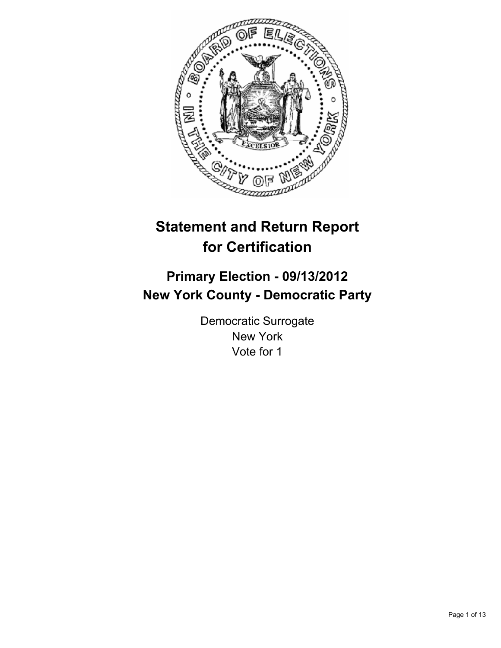

# **Statement and Return Report for Certification**

# **Primary Election - 09/13/2012 New York County - Democratic Party**

Democratic Surrogate New York Vote for 1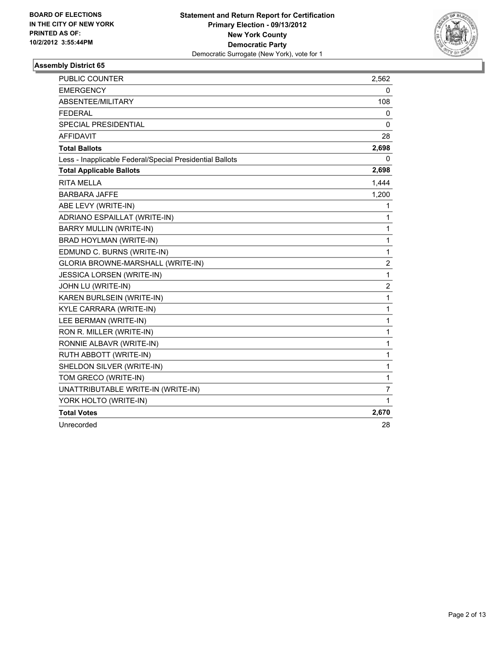

| PUBLIC COUNTER                                           | 2,562          |
|----------------------------------------------------------|----------------|
| <b>EMERGENCY</b>                                         | 0              |
| ABSENTEE/MILITARY                                        | 108            |
| <b>FEDERAL</b>                                           | 0              |
| <b>SPECIAL PRESIDENTIAL</b>                              | 0              |
| <b>AFFIDAVIT</b>                                         | 28             |
| <b>Total Ballots</b>                                     | 2,698          |
| Less - Inapplicable Federal/Special Presidential Ballots | 0              |
| <b>Total Applicable Ballots</b>                          | 2,698          |
| <b>RITA MELLA</b>                                        | 1,444          |
| <b>BARBARA JAFFE</b>                                     | 1,200          |
| ABE LEVY (WRITE-IN)                                      | 1              |
| ADRIANO ESPAILLAT (WRITE-IN)                             | 1              |
| <b>BARRY MULLIN (WRITE-IN)</b>                           | 1              |
| BRAD HOYLMAN (WRITE-IN)                                  | $\mathbf{1}$   |
| EDMUND C. BURNS (WRITE-IN)                               | 1              |
| GLORIA BROWNE-MARSHALL (WRITE-IN)                        | $\overline{2}$ |
| <b>JESSICA LORSEN (WRITE-IN)</b>                         | $\mathbf{1}$   |
| JOHN LU (WRITE-IN)                                       | $\overline{2}$ |
| KAREN BURLSEIN (WRITE-IN)                                | $\mathbf{1}$   |
| KYLE CARRARA (WRITE-IN)                                  | 1              |
| LEE BERMAN (WRITE-IN)                                    | $\mathbf{1}$   |
| RON R. MILLER (WRITE-IN)                                 | 1              |
| RONNIE ALBAVR (WRITE-IN)                                 | 1              |
| RUTH ABBOTT (WRITE-IN)                                   | $\mathbf{1}$   |
| SHELDON SILVER (WRITE-IN)                                | 1              |
| TOM GRECO (WRITE-IN)                                     | $\mathbf{1}$   |
| UNATTRIBUTABLE WRITE-IN (WRITE-IN)                       | 7              |
| YORK HOLTO (WRITE-IN)                                    | 1              |
| <b>Total Votes</b>                                       | 2,670          |
| Unrecorded                                               | 28             |
|                                                          |                |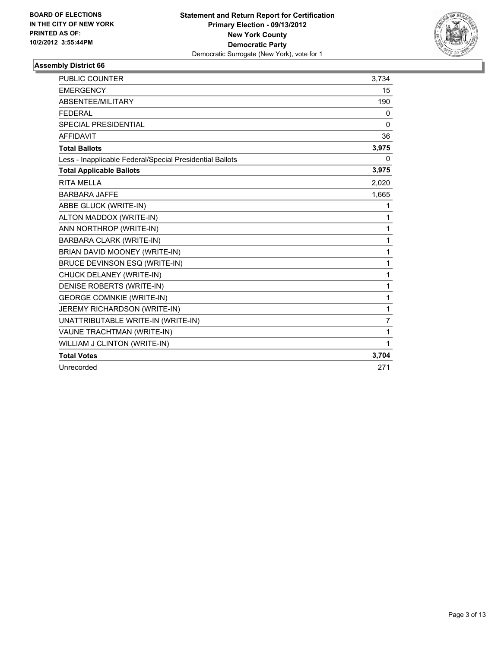

| PUBLIC COUNTER                                           | 3,734          |
|----------------------------------------------------------|----------------|
| <b>EMERGENCY</b>                                         | 15             |
| ABSENTEE/MILITARY                                        | 190            |
| <b>FEDERAL</b>                                           | 0              |
| SPECIAL PRESIDENTIAL                                     | $\mathbf{0}$   |
| <b>AFFIDAVIT</b>                                         | 36             |
| <b>Total Ballots</b>                                     | 3,975          |
| Less - Inapplicable Federal/Special Presidential Ballots | 0              |
| <b>Total Applicable Ballots</b>                          | 3,975          |
| <b>RITA MELLA</b>                                        | 2,020          |
| <b>BARBARA JAFFE</b>                                     | 1,665          |
| ABBE GLUCK (WRITE-IN)                                    | 1              |
| ALTON MADDOX (WRITE-IN)                                  | 1              |
| ANN NORTHROP (WRITE-IN)                                  | 1              |
| <b>BARBARA CLARK (WRITE-IN)</b>                          | 1              |
| BRIAN DAVID MOONEY (WRITE-IN)                            | 1              |
| BRUCE DEVINSON ESQ (WRITE-IN)                            | 1              |
| CHUCK DELANEY (WRITE-IN)                                 | 1              |
| DENISE ROBERTS (WRITE-IN)                                | 1              |
| <b>GEORGE COMNKIE (WRITE-IN)</b>                         | 1              |
| JEREMY RICHARDSON (WRITE-IN)                             | 1              |
| UNATTRIBUTABLE WRITE-IN (WRITE-IN)                       | $\overline{7}$ |
| VAUNE TRACHTMAN (WRITE-IN)                               | 1              |
| WILLIAM J CLINTON (WRITE-IN)                             | 1              |
| <b>Total Votes</b>                                       | 3,704          |
| Unrecorded                                               | 271            |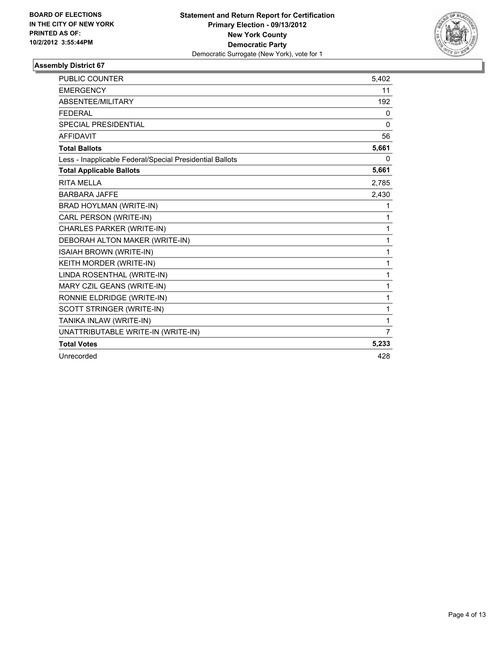

| <b>PUBLIC COUNTER</b>                                    | 5,402 |
|----------------------------------------------------------|-------|
| <b>EMERGENCY</b>                                         | 11    |
| ABSENTEE/MILITARY                                        | 192   |
| <b>FEDERAL</b>                                           | 0     |
| <b>SPECIAL PRESIDENTIAL</b>                              | 0     |
| <b>AFFIDAVIT</b>                                         | 56    |
| <b>Total Ballots</b>                                     | 5,661 |
| Less - Inapplicable Federal/Special Presidential Ballots | 0     |
| <b>Total Applicable Ballots</b>                          | 5,661 |
| RITA MFI I A                                             | 2,785 |
| <b>BARBARA JAFFE</b>                                     | 2,430 |
| BRAD HOYLMAN (WRITE-IN)                                  | 1     |
| CARL PERSON (WRITE-IN)                                   | 1     |
| <b>CHARLES PARKER (WRITE-IN)</b>                         | 1     |
| DEBORAH ALTON MAKER (WRITE-IN)                           | 1     |
| ISAIAH BROWN (WRITE-IN)                                  | 1     |
| KEITH MORDER (WRITE-IN)                                  | 1     |
| LINDA ROSENTHAL (WRITE-IN)                               | 1     |
| MARY CZIL GEANS (WRITE-IN)                               | 1     |
| RONNIE ELDRIDGE (WRITE-IN)                               | 1     |
| SCOTT STRINGER (WRITE-IN)                                | 1     |
| TANIKA INLAW (WRITE-IN)                                  | 1     |
| UNATTRIBUTABLE WRITE-IN (WRITE-IN)                       | 7     |
| <b>Total Votes</b>                                       | 5,233 |
| Unrecorded                                               | 428   |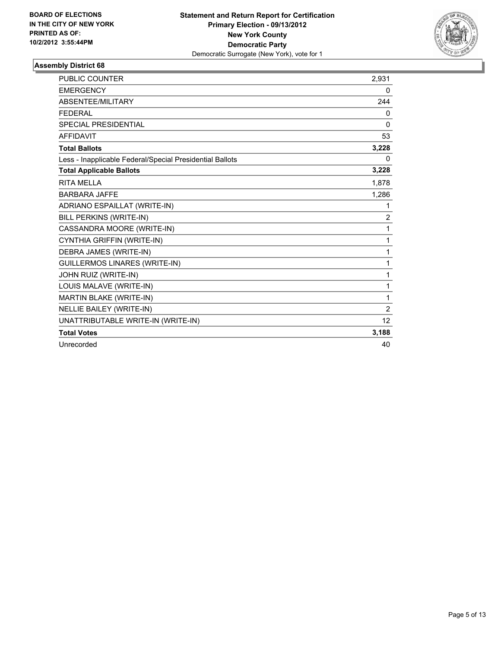

| <b>PUBLIC COUNTER</b>                                    | 2,931             |
|----------------------------------------------------------|-------------------|
| <b>EMERGENCY</b>                                         | 0                 |
| ABSENTEE/MILITARY                                        | 244               |
| <b>FEDERAL</b>                                           | 0                 |
| <b>SPECIAL PRESIDENTIAL</b>                              | $\mathbf 0$       |
| <b>AFFIDAVIT</b>                                         | 53                |
| <b>Total Ballots</b>                                     | 3,228             |
| Less - Inapplicable Federal/Special Presidential Ballots | 0                 |
| <b>Total Applicable Ballots</b>                          | 3,228             |
| <b>RITA MELLA</b>                                        | 1,878             |
| <b>BARBARA JAFFE</b>                                     | 1,286             |
| ADRIANO ESPAILLAT (WRITE-IN)                             | 1                 |
| BILL PERKINS (WRITE-IN)                                  | $\overline{2}$    |
| CASSANDRA MOORE (WRITE-IN)                               | 1                 |
| CYNTHIA GRIFFIN (WRITE-IN)                               | 1                 |
| DEBRA JAMES (WRITE-IN)                                   | 1                 |
| <b>GUILLERMOS LINARES (WRITE-IN)</b>                     | 1                 |
| JOHN RUIZ (WRITE-IN)                                     | 1                 |
| LOUIS MALAVE (WRITE-IN)                                  | 1                 |
| MARTIN BLAKE (WRITE-IN)                                  | 1                 |
| <b>NELLIE BAILEY (WRITE-IN)</b>                          | $\overline{2}$    |
| UNATTRIBUTABLE WRITE-IN (WRITE-IN)                       | $12 \overline{ }$ |
| <b>Total Votes</b>                                       | 3,188             |
| Unrecorded                                               | 40                |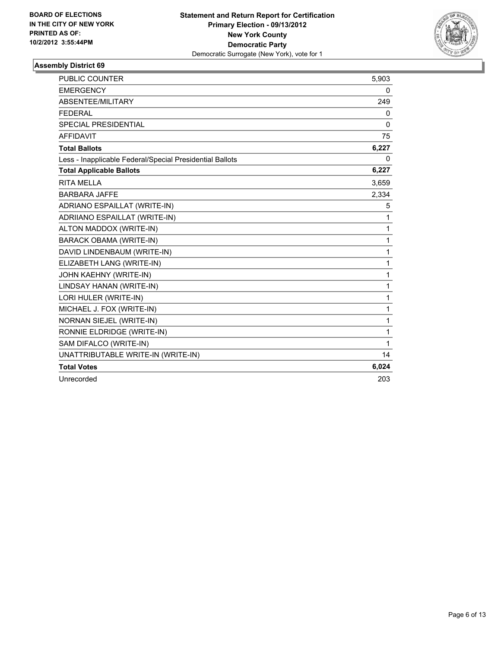

| <b>PUBLIC COUNTER</b>                                    | 5,903        |
|----------------------------------------------------------|--------------|
| <b>EMERGENCY</b>                                         | 0            |
| ABSENTEE/MILITARY                                        | 249          |
| <b>FEDERAL</b>                                           | 0            |
| <b>SPECIAL PRESIDENTIAL</b>                              | $\mathbf{0}$ |
| <b>AFFIDAVIT</b>                                         | 75           |
| <b>Total Ballots</b>                                     | 6,227        |
| Less - Inapplicable Federal/Special Presidential Ballots | $\Omega$     |
| <b>Total Applicable Ballots</b>                          | 6,227        |
| <b>RITA MELLA</b>                                        | 3,659        |
| <b>BARBARA JAFFE</b>                                     | 2,334        |
| ADRIANO ESPAILLAT (WRITE-IN)                             | 5            |
| ADRIIANO ESPAILLAT (WRITE-IN)                            | 1            |
| ALTON MADDOX (WRITE-IN)                                  | 1            |
| <b>BARACK OBAMA (WRITE-IN)</b>                           | 1            |
| DAVID LINDENBAUM (WRITE-IN)                              | 1            |
| ELIZABETH LANG (WRITE-IN)                                | 1            |
| JOHN KAEHNY (WRITE-IN)                                   | 1            |
| LINDSAY HANAN (WRITE-IN)                                 | 1            |
| LORI HULER (WRITE-IN)                                    | 1            |
| MICHAEL J. FOX (WRITE-IN)                                | 1            |
| <b>NORNAN SIEJEL (WRITE-IN)</b>                          | 1            |
| RONNIE ELDRIDGE (WRITE-IN)                               | 1            |
| SAM DIFALCO (WRITE-IN)                                   | 1            |
| UNATTRIBUTABLE WRITE-IN (WRITE-IN)                       | 14           |
| <b>Total Votes</b>                                       | 6,024        |
| Unrecorded                                               | 203          |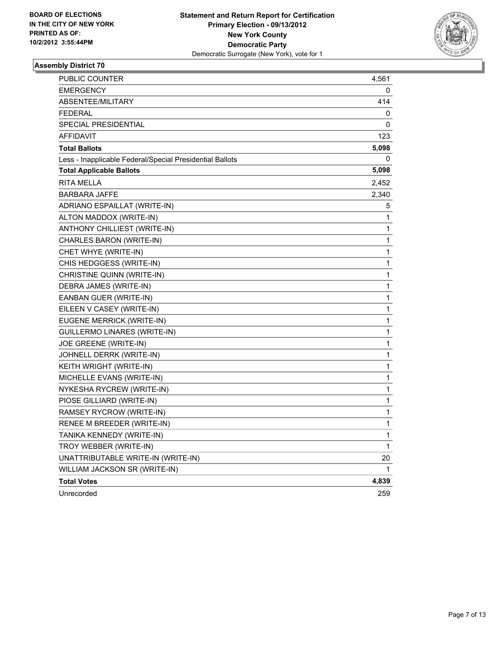

| PUBLIC COUNTER                                           | 4,561 |
|----------------------------------------------------------|-------|
| <b>EMERGENCY</b>                                         | 0     |
| ABSENTEE/MILITARY                                        | 414   |
| <b>FEDERAL</b>                                           | 0     |
| SPECIAL PRESIDENTIAL                                     | 0     |
| <b>AFFIDAVIT</b>                                         | 123   |
| <b>Total Ballots</b>                                     | 5,098 |
| Less - Inapplicable Federal/Special Presidential Ballots | 0     |
| <b>Total Applicable Ballots</b>                          | 5,098 |
| <b>RITA MELLA</b>                                        | 2,452 |
| <b>BARBARA JAFFE</b>                                     | 2,340 |
| ADRIANO ESPAILLAT (WRITE-IN)                             | 5     |
| ALTON MADDOX (WRITE-IN)                                  | 1     |
| ANTHONY CHILLIEST (WRITE-IN)                             | 1     |
| CHARLES BARON (WRITE-IN)                                 | 1     |
| CHET WHYE (WRITE-IN)                                     | 1     |
| CHIS HEDGGESS (WRITE-IN)                                 | 1     |
| CHRISTINE QUINN (WRITE-IN)                               | 1     |
| DEBRA JAMES (WRITE-IN)                                   | 1     |
| EANBAN GUER (WRITE-IN)                                   | 1     |
| EILEEN V CASEY (WRITE-IN)                                | 1     |
| EUGENE MERRICK (WRITE-IN)                                | 1     |
| <b>GUILLERMO LINARES (WRITE-IN)</b>                      | 1     |
| JOE GREENE (WRITE-IN)                                    | 1     |
| JOHNELL DERRK (WRITE-IN)                                 | 1     |
| KEITH WRIGHT (WRITE-IN)                                  | 1     |
| MICHELLE EVANS (WRITE-IN)                                | 1     |
| NYKESHA RYCREW (WRITE-IN)                                | 1     |
| PIOSE GILLIARD (WRITE-IN)                                | 1     |
| RAMSEY RYCROW (WRITE-IN)                                 | 1     |
| RENEE M BREEDER (WRITE-IN)                               | 1     |
| TANIKA KENNEDY (WRITE-IN)                                | 1     |
| TROY WEBBER (WRITE-IN)                                   | 1     |
| UNATTRIBUTABLE WRITE-IN (WRITE-IN)                       | 20    |
| WILLIAM JACKSON SR (WRITE-IN)                            | 1     |
| <b>Total Votes</b>                                       | 4,839 |
| Unrecorded                                               | 259   |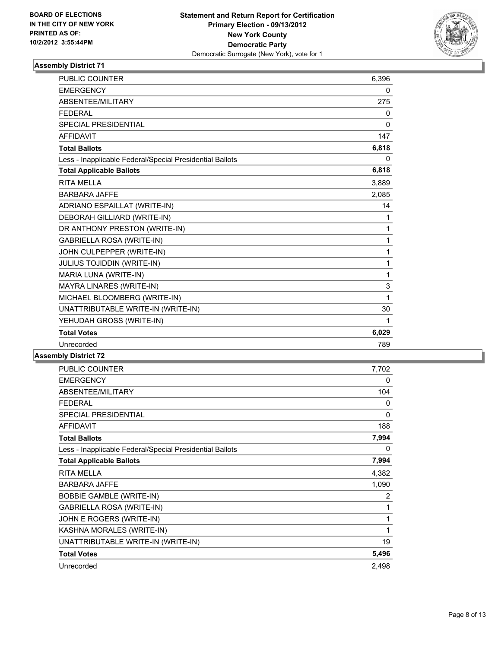

| <b>PUBLIC COUNTER</b>                                    | 6,396        |
|----------------------------------------------------------|--------------|
| <b>EMERGENCY</b>                                         | 0            |
| <b>ABSENTEE/MILITARY</b>                                 | 275          |
| <b>FEDERAL</b>                                           | 0            |
| <b>SPECIAL PRESIDENTIAL</b>                              | $\mathbf{0}$ |
| <b>AFFIDAVIT</b>                                         | 147          |
| <b>Total Ballots</b>                                     | 6,818        |
| Less - Inapplicable Federal/Special Presidential Ballots | 0            |
| <b>Total Applicable Ballots</b>                          | 6,818        |
| <b>RITA MELLA</b>                                        | 3,889        |
| <b>BARBARA JAFFF</b>                                     | 2,085        |
| ADRIANO ESPAILLAT (WRITE-IN)                             | 14           |
| DEBORAH GILLIARD (WRITE-IN)                              | 1            |
| DR ANTHONY PRESTON (WRITE-IN)                            | $\mathbf{1}$ |
| <b>GABRIELLA ROSA (WRITE-IN)</b>                         | $\mathbf{1}$ |
| JOHN CULPEPPER (WRITE-IN)                                | $\mathbf 1$  |
| <b>JULIUS TOJIDDIN (WRITE-IN)</b>                        | $\mathbf{1}$ |
| MARIA LUNA (WRITE-IN)                                    | 1            |
| MAYRA LINARES (WRITE-IN)                                 | 3            |
| MICHAEL BLOOMBERG (WRITE-IN)                             | 1            |
| UNATTRIBUTABLE WRITE-IN (WRITE-IN)                       | 30           |
| YEHUDAH GROSS (WRITE-IN)                                 | 1            |
| <b>Total Votes</b>                                       | 6,029        |
| Unrecorded                                               | 789          |

| <b>PUBLIC COUNTER</b>                                    | 7,702    |
|----------------------------------------------------------|----------|
| <b>EMERGENCY</b>                                         | 0        |
| ABSENTEE/MILITARY                                        | 104      |
| <b>FEDERAL</b>                                           | 0        |
| <b>SPECIAL PRESIDENTIAL</b>                              | $\Omega$ |
| <b>AFFIDAVIT</b>                                         | 188      |
| <b>Total Ballots</b>                                     | 7,994    |
| Less - Inapplicable Federal/Special Presidential Ballots | 0        |
| <b>Total Applicable Ballots</b>                          | 7,994    |
| <b>RITA MELLA</b>                                        | 4,382    |
| <b>BARBARA JAFFE</b>                                     | 1,090    |
| <b>BOBBIE GAMBLE (WRITE-IN)</b>                          | 2        |
| <b>GABRIELLA ROSA (WRITE-IN)</b>                         | 1        |
| JOHN E ROGERS (WRITE-IN)                                 | 1        |
| KASHNA MORALES (WRITE-IN)                                | 1        |
| UNATTRIBUTABLE WRITE-IN (WRITE-IN)                       | 19       |
| <b>Total Votes</b>                                       | 5,496    |
| Unrecorded                                               | 2,498    |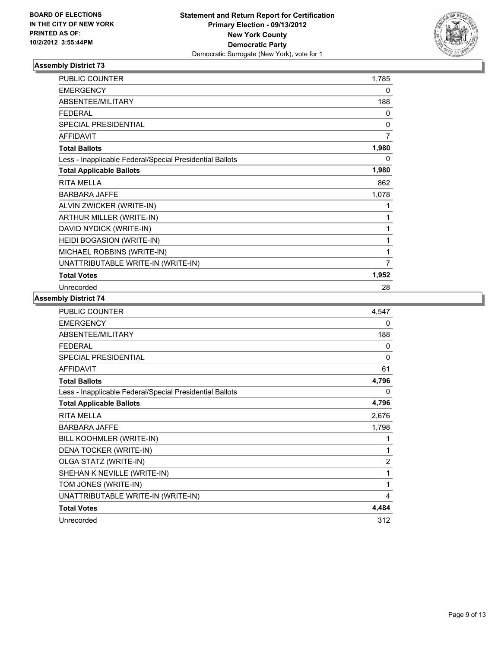

| <b>PUBLIC COUNTER</b>                                    | 1,785          |
|----------------------------------------------------------|----------------|
| <b>EMERGENCY</b>                                         | 0              |
| ABSENTEE/MILITARY                                        | 188            |
| <b>FEDERAL</b>                                           | 0              |
| SPECIAL PRESIDENTIAL                                     | 0              |
| <b>AFFIDAVIT</b>                                         | $\overline{7}$ |
| <b>Total Ballots</b>                                     | 1,980          |
| Less - Inapplicable Federal/Special Presidential Ballots | 0              |
| <b>Total Applicable Ballots</b>                          | 1,980          |
| <b>RITA MELLA</b>                                        | 862            |
| <b>BARBARA JAFFE</b>                                     | 1,078          |
| ALVIN ZWICKER (WRITE-IN)                                 | 1              |
| ARTHUR MILLER (WRITE-IN)                                 | 1              |
| DAVID NYDICK (WRITE-IN)                                  | 1              |
| HEIDI BOGASION (WRITE-IN)                                | 1              |
| MICHAEL ROBBINS (WRITE-IN)                               | 1              |
| UNATTRIBUTABLE WRITE-IN (WRITE-IN)                       | 7              |
| <b>Total Votes</b>                                       | 1,952          |
| Unrecorded                                               | 28             |

| PUBLIC COUNTER                                           | 4,547          |
|----------------------------------------------------------|----------------|
| <b>EMERGENCY</b>                                         | 0              |
| ABSENTEE/MILITARY                                        | 188            |
| <b>FEDERAL</b>                                           | 0              |
| SPECIAL PRESIDENTIAL                                     | $\Omega$       |
| <b>AFFIDAVIT</b>                                         | 61             |
| <b>Total Ballots</b>                                     | 4,796          |
| Less - Inapplicable Federal/Special Presidential Ballots | 0              |
| <b>Total Applicable Ballots</b>                          | 4,796          |
| <b>RITA MELLA</b>                                        | 2,676          |
| <b>BARBARA JAFFE</b>                                     | 1,798          |
| BILL KOOHMLER (WRITE-IN)                                 | 1              |
| DENA TOCKER (WRITE-IN)                                   | 1              |
| OLGA STATZ (WRITE-IN)                                    | $\overline{2}$ |
| SHEHAN K NEVILLE (WRITE-IN)                              | 1              |
| TOM JONES (WRITE-IN)                                     | 1              |
| UNATTRIBUTABLE WRITE-IN (WRITE-IN)                       | 4              |
| <b>Total Votes</b>                                       | 4,484          |
| Unrecorded                                               | 312            |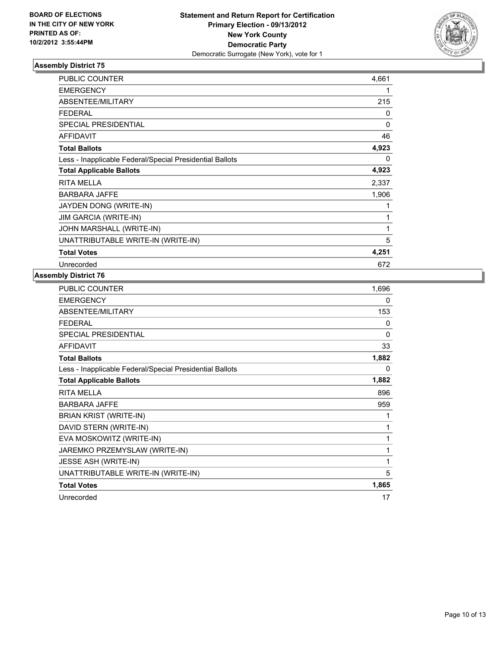

| PUBLIC COUNTER                                           | 4,661 |
|----------------------------------------------------------|-------|
| <b>EMERGENCY</b>                                         | 1     |
| ABSENTEE/MILITARY                                        | 215   |
| <b>FEDERAL</b>                                           | 0     |
| <b>SPECIAL PRESIDENTIAL</b>                              | 0     |
| <b>AFFIDAVIT</b>                                         | 46    |
| <b>Total Ballots</b>                                     | 4,923 |
| Less - Inapplicable Federal/Special Presidential Ballots | 0     |
| <b>Total Applicable Ballots</b>                          | 4,923 |
| <b>RITA MELLA</b>                                        | 2,337 |
| <b>BARBARA JAFFE</b>                                     | 1,906 |
| JAYDEN DONG (WRITE-IN)                                   | 1     |
| <b>JIM GARCIA (WRITE-IN)</b>                             | 1     |
| JOHN MARSHALL (WRITE-IN)                                 | 1     |
| UNATTRIBUTABLE WRITE-IN (WRITE-IN)                       | 5     |
| <b>Total Votes</b>                                       | 4,251 |
| Unrecorded                                               | 672   |

| <b>PUBLIC COUNTER</b>                                    | 1,696 |
|----------------------------------------------------------|-------|
| <b>EMERGENCY</b>                                         | 0     |
| ABSENTEE/MILITARY                                        | 153   |
| <b>FEDERAL</b>                                           | 0     |
| <b>SPECIAL PRESIDENTIAL</b>                              | 0     |
| <b>AFFIDAVIT</b>                                         | 33    |
| <b>Total Ballots</b>                                     | 1,882 |
| Less - Inapplicable Federal/Special Presidential Ballots | 0     |
| <b>Total Applicable Ballots</b>                          | 1,882 |
| <b>RITA MELLA</b>                                        | 896   |
| <b>BARBARA JAFFE</b>                                     | 959   |
| <b>BRIAN KRIST (WRITE-IN)</b>                            | 1     |
| DAVID STERN (WRITE-IN)                                   | 1     |
| EVA MOSKOWITZ (WRITE-IN)                                 | 1     |
| JAREMKO PRZEMYSLAW (WRITE-IN)                            | 1     |
| <b>JESSE ASH (WRITE-IN)</b>                              | 1     |
| UNATTRIBUTABLE WRITE-IN (WRITE-IN)                       | 5     |
| <b>Total Votes</b>                                       | 1,865 |
| Unrecorded                                               | 17    |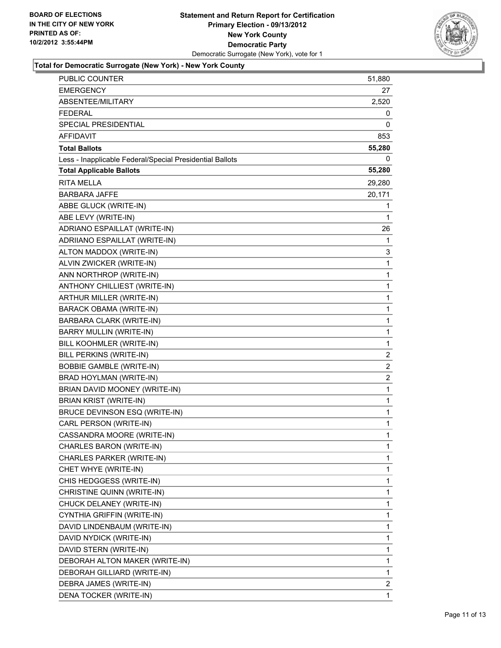

# **Total for Democratic Surrogate (New York) - New York County**

| PUBLIC COUNTER                                           | 51,880         |
|----------------------------------------------------------|----------------|
| <b>EMERGENCY</b>                                         | 27             |
| ABSENTEE/MILITARY                                        | 2,520          |
| FEDERAL                                                  | 0              |
| SPECIAL PRESIDENTIAL                                     | 0              |
| AFFIDAVIT                                                | 853            |
| <b>Total Ballots</b>                                     | 55,280         |
| Less - Inapplicable Federal/Special Presidential Ballots | 0              |
| <b>Total Applicable Ballots</b>                          | 55,280         |
| <b>RITA MELLA</b>                                        | 29,280         |
| <b>BARBARA JAFFE</b>                                     | 20,171         |
| ABBE GLUCK (WRITE-IN)                                    | 1              |
| ABE LEVY (WRITE-IN)                                      | 1              |
| ADRIANO ESPAILLAT (WRITE-IN)                             | 26             |
| ADRIIANO ESPAILLAT (WRITE-IN)                            | 1              |
| ALTON MADDOX (WRITE-IN)                                  | 3              |
| ALVIN ZWICKER (WRITE-IN)                                 | 1              |
| ANN NORTHROP (WRITE-IN)                                  | 1              |
| ANTHONY CHILLIEST (WRITE-IN)                             | 1              |
| ARTHUR MILLER (WRITE-IN)                                 | 1              |
| <b>BARACK OBAMA (WRITE-IN)</b>                           | 1              |
| BARBARA CLARK (WRITE-IN)                                 | 1              |
| BARRY MULLIN (WRITE-IN)                                  | 1              |
| BILL KOOHMLER (WRITE-IN)                                 | $\mathbf{1}$   |
| BILL PERKINS (WRITE-IN)                                  | $\overline{2}$ |
| <b>BOBBIE GAMBLE (WRITE-IN)</b>                          | 2              |
| BRAD HOYLMAN (WRITE-IN)                                  | $\overline{2}$ |
| BRIAN DAVID MOONEY (WRITE-IN)                            | 1              |
| <b>BRIAN KRIST (WRITE-IN)</b>                            | 1              |
| BRUCE DEVINSON ESQ (WRITE-IN)                            | $\mathbf{1}$   |
| CARL PERSON (WRITE-IN)                                   | 1              |
| CASSANDRA MOORE (WRITE-IN)                               | 1              |
| CHARLES BARON (WRITE-IN)                                 | 1              |
| CHARLES PARKER (WRITE-IN)                                | 1              |
| CHET WHYE (WRITE-IN)                                     | 1              |
| CHIS HEDGGESS (WRITE-IN)                                 | 1              |
| CHRISTINE QUINN (WRITE-IN)                               | 1              |
| CHUCK DELANEY (WRITE-IN)                                 | 1              |
| CYNTHIA GRIFFIN (WRITE-IN)                               | 1              |
| DAVID LINDENBAUM (WRITE-IN)                              | 1              |
| DAVID NYDICK (WRITE-IN)                                  | 1              |
| DAVID STERN (WRITE-IN)                                   | 1              |
| DEBORAH ALTON MAKER (WRITE-IN)                           | 1              |
| DEBORAH GILLIARD (WRITE-IN)                              | 1              |
| DEBRA JAMES (WRITE-IN)                                   | $\overline{2}$ |
| DENA TOCKER (WRITE-IN)                                   | 1              |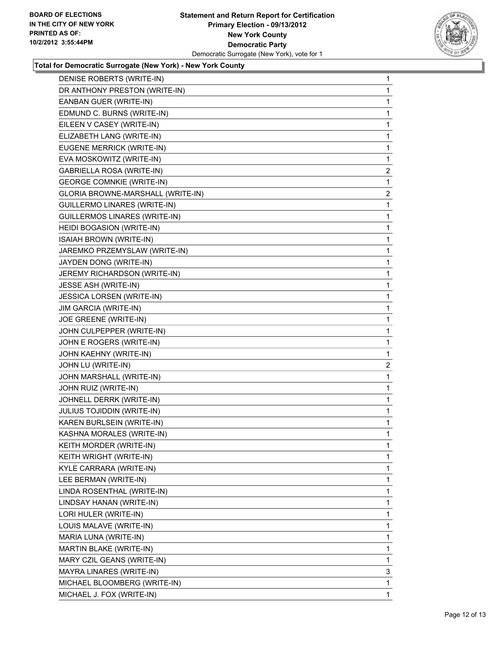

#### **Total for Democratic Surrogate (New York) - New York County**

| DENISE ROBERTS (WRITE-IN)         | 1              |
|-----------------------------------|----------------|
| DR ANTHONY PRESTON (WRITE-IN)     | 1              |
| EANBAN GUER (WRITE-IN)            | 1              |
| EDMUND C. BURNS (WRITE-IN)        | 1              |
| EILEEN V CASEY (WRITE-IN)         | 1              |
| ELIZABETH LANG (WRITE-IN)         | 1              |
| EUGENE MERRICK (WRITE-IN)         | 1              |
| EVA MOSKOWITZ (WRITE-IN)          | 1              |
| GABRIELLA ROSA (WRITE-IN)         | $\overline{c}$ |
| <b>GEORGE COMNKIE (WRITE-IN)</b>  | 1              |
| GLORIA BROWNE-MARSHALL (WRITE-IN) | 2              |
| GUILLERMO LINARES (WRITE-IN)      | 1              |
| GUILLERMOS LINARES (WRITE-IN)     | 1              |
| HEIDI BOGASION (WRITE-IN)         | 1              |
| ISAIAH BROWN (WRITE-IN)           | 1              |
| JAREMKO PRZEMYSLAW (WRITE-IN)     | 1              |
| JAYDEN DONG (WRITE-IN)            | 1              |
| JEREMY RICHARDSON (WRITE-IN)      | 1              |
| JESSE ASH (WRITE-IN)              | 1              |
| <b>JESSICA LORSEN (WRITE-IN)</b>  | 1              |
| JIM GARCIA (WRITE-IN)             | 1              |
| JOE GREENE (WRITE-IN)             | 1              |
| JOHN CULPEPPER (WRITE-IN)         | 1              |
| JOHN E ROGERS (WRITE-IN)          | 1              |
| JOHN KAEHNY (WRITE-IN)            | 1              |
| JOHN LU (WRITE-IN)                | $\overline{2}$ |
| JOHN MARSHALL (WRITE-IN)          | 1              |
| JOHN RUIZ (WRITE-IN)              | 1              |
| JOHNELL DERRK (WRITE-IN)          | 1              |
| JULIUS TOJIDDIN (WRITE-IN)        | 1              |
| KAREN BURLSEIN (WRITE-IN)         | 1              |
| KASHNA MORALES (WRITE-IN)         | 1              |
| KEITH MORDER (WRITE-IN)           | 1              |
| KEITH WRIGHT (WRITE-IN)           | $\mathbf{1}$   |
| KYLE CARRARA (WRITE-IN)           | 1              |
| LEE BERMAN (WRITE-IN)             | 1              |
| LINDA ROSENTHAL (WRITE-IN)        | 1              |
| LINDSAY HANAN (WRITE-IN)          | 1              |
| LORI HULER (WRITE-IN)             | 1              |
| LOUIS MALAVE (WRITE-IN)           | 1              |
| MARIA LUNA (WRITE-IN)             | 1              |
| MARTIN BLAKE (WRITE-IN)           |                |
|                                   | 1              |
| MARY CZIL GEANS (WRITE-IN)        | 1              |
| MAYRA LINARES (WRITE-IN)          | 3              |
| MICHAEL BLOOMBERG (WRITE-IN)      | 1              |